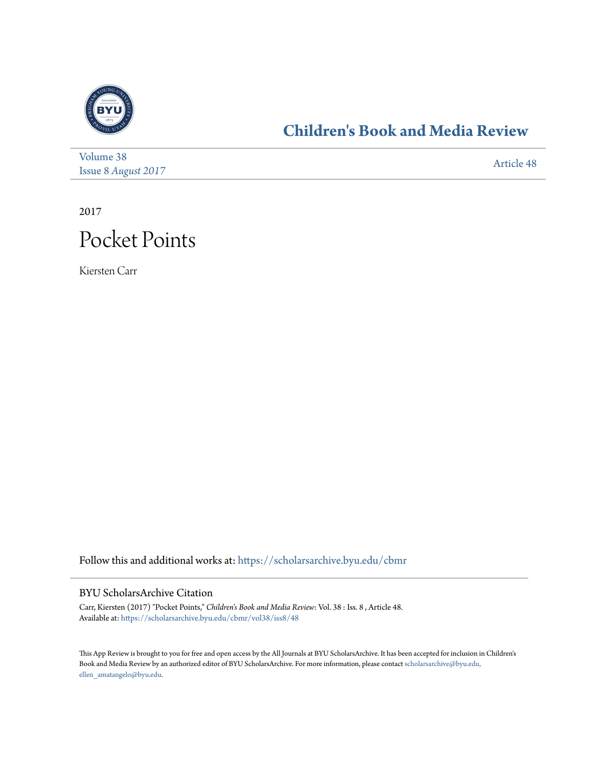

### **[Children's Book and Media Review](https://scholarsarchive.byu.edu/cbmr?utm_source=scholarsarchive.byu.edu%2Fcbmr%2Fvol38%2Fiss8%2F48&utm_medium=PDF&utm_campaign=PDFCoverPages)**

| Volume 38                  | Article 48 |
|----------------------------|------------|
| <b>Issue 8 August 2017</b> |            |

2017



Kiersten Carr

Follow this and additional works at: [https://scholarsarchive.byu.edu/cbmr](https://scholarsarchive.byu.edu/cbmr?utm_source=scholarsarchive.byu.edu%2Fcbmr%2Fvol38%2Fiss8%2F48&utm_medium=PDF&utm_campaign=PDFCoverPages)

#### BYU ScholarsArchive Citation

Carr, Kiersten (2017) "Pocket Points," *Children's Book and Media Review*: Vol. 38 : Iss. 8 , Article 48. Available at: [https://scholarsarchive.byu.edu/cbmr/vol38/iss8/48](https://scholarsarchive.byu.edu/cbmr/vol38/iss8/48?utm_source=scholarsarchive.byu.edu%2Fcbmr%2Fvol38%2Fiss8%2F48&utm_medium=PDF&utm_campaign=PDFCoverPages)

This App Review is brought to you for free and open access by the All Journals at BYU ScholarsArchive. It has been accepted for inclusion in Children's Book and Media Review by an authorized editor of BYU ScholarsArchive. For more information, please contact [scholarsarchive@byu.edu,](mailto:scholarsarchive@byu.edu,%20ellen_amatangelo@byu.edu) [ellen\\_amatangelo@byu.edu.](mailto:scholarsarchive@byu.edu,%20ellen_amatangelo@byu.edu)